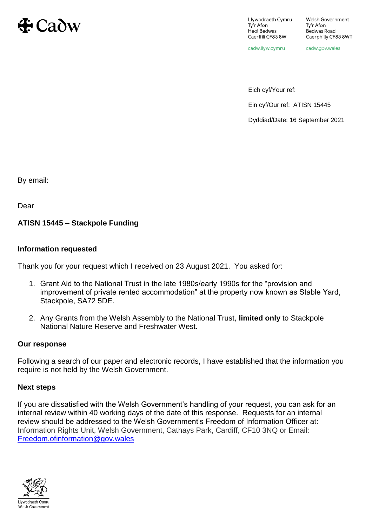

Llywodraeth Cymru Ty'r Afon Heol Bedwas Caerffili CF838W

cadw.llyw.cymru

cadw.gov.wales

Eich cyf/Your ref:

Ein cyf/Our ref: ATISN 15445

Dyddiad/Date: 16 September 2021

By email:

Dear

## **ATISN 15445 – Stackpole Funding**

## **Information requested**

Thank you for your request which I received on 23 August 2021. You asked for:

- 1. Grant Aid to the National Trust in the late 1980s/early 1990s for the "provision and improvement of private rented accommodation" at the property now known as Stable Yard, Stackpole, SA72 5DE.
- 2. Any Grants from the Welsh Assembly to the National Trust, **limited only** to Stackpole National Nature Reserve and Freshwater West.

## **Our response**

Following a search of our paper and electronic records, I have established that the information you require is not held by the Welsh Government.

## **Next steps**

If you are dissatisfied with the Welsh Government's handling of your request, you can ask for an internal review within 40 working days of the date of this response. Requests for an internal review should be addressed to the Welsh Government's Freedom of Information Officer at: Information Rights Unit, Welsh Government, Cathays Park, Cardiff, CF10 3NQ or Email: [Freedom.ofinformation@gov.wales](mailto:Freedom.ofinformation@gov.wales)